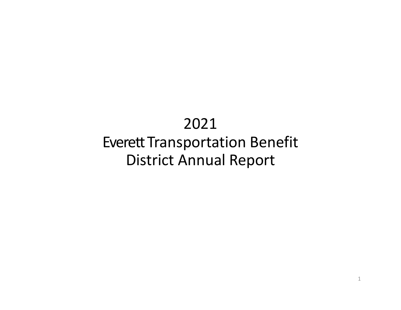## 2021 Everett Transportation Benefit District Annual Report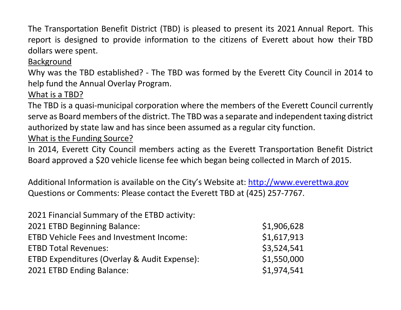The Transportation Benefit District (TBD) is pleased to present its 2021 Annual Report. This report is designed to provide information to the citizens of Everett about how their TBD dollars were spent.

## Background

Why was the TBD established? - The TBD was formed by the Everett City Council in 2014 to help fund the Annual Overlay Program.

## What is a TBD?

The TBD is a quasi-municipal corporation where the members of the Everett Council currently serve as Board members of the district. The TBD was a separate and independent taxing district authorized by state law and has since been assumed as a regular city function.

## What is the Funding Source?

In 2014, Everett City Council members acting as the Everett Transportation Benefit District Board approved a \$20 vehicle license fee which began being collected in March of 2015.

Additional Information is available on the City's Website at: [http://www.everettwa.gov](http://www.everettwa.gov/) Questions or Comments: Please contact the Everett TBD at (425) 257-7767.

| 2021 Financial Summary of the ETBD activity:    |             |
|-------------------------------------------------|-------------|
| 2021 ETBD Beginning Balance:                    | \$1,906,628 |
| <b>ETBD Vehicle Fees and Investment Income:</b> | \$1,617,913 |
| <b>ETBD Total Revenues:</b>                     | \$3,524,541 |
| ETBD Expenditures (Overlay & Audit Expense):    | \$1,550,000 |
| 2021 ETBD Ending Balance:                       | \$1,974,541 |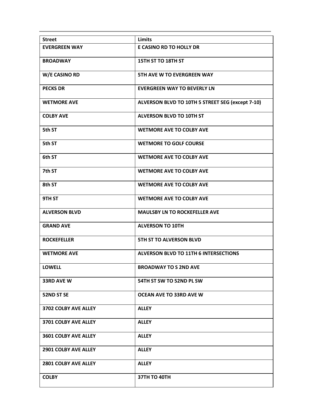| <b>Street</b>               | <b>Limits</b>                                    |
|-----------------------------|--------------------------------------------------|
| <b>EVERGREEN WAY</b>        | E CASINO RD TO HOLLY DR                          |
| <b>BROADWAY</b>             | 15TH ST TO 18TH ST                               |
| W/E CASINO RD               | <b>5TH AVE W TO EVERGREEN WAY</b>                |
| <b>PECKS DR</b>             | <b>EVERGREEN WAY TO BEVERLY LN</b>               |
| <b>WETMORE AVE</b>          | ALVERSON BLVD TO 10TH 5 STREET SEG (except 7-10) |
| <b>COLBY AVE</b>            | <b>ALVERSON BLVD TO 10TH ST</b>                  |
| 5th ST                      | <b>WETMORE AVE TO COLBY AVE</b>                  |
| 5th ST                      | <b>WETMORE TO GOLF COURSE</b>                    |
| 6th ST                      | <b>WETMORE AVE TO COLBY AVE</b>                  |
| 7th ST                      | <b>WETMORE AVE TO COLBY AVE</b>                  |
| 8th ST                      | <b>WETMORE AVE TO COLBY AVE</b>                  |
| 9TH ST                      | <b>WETMORE AVE TO COLBY AVE</b>                  |
| <b>ALVERSON BLVD</b>        | <b>MAULSBY LN TO ROCKEFELLER AVE</b>             |
| <b>GRAND AVE</b>            | <b>ALVERSON TO 10TH</b>                          |
| <b>ROCKEFELLER</b>          | <b>5TH ST TO ALVERSON BLVD</b>                   |
| <b>WETMORE AVE</b>          | <b>ALVERSON BLVD TO 11TH 6 INTERSECTIONS</b>     |
| <b>LOWELL</b>               | <b>BROADWAY TO S 2ND AVE</b>                     |
| 33RD AVE W                  | 54TH ST SW TO 52ND PL SW                         |
| <b>52ND ST SE</b>           | <b>OCEAN AVE TO 33RD AVE W</b>                   |
| 3702 COLBY AVE ALLEY        | <b>ALLEY</b>                                     |
| <b>3701 COLBY AVE ALLEY</b> | <b>ALLEY</b>                                     |
| <b>3601 COLBY AVE ALLEY</b> | <b>ALLEY</b>                                     |
| <b>2901 COLBY AVE ALLEY</b> | <b>ALLEY</b>                                     |
| <b>2801 COLBY AVE ALLEY</b> | <b>ALLEY</b>                                     |
| <b>COLBY</b>                | <b>37TH TO 40TH</b>                              |